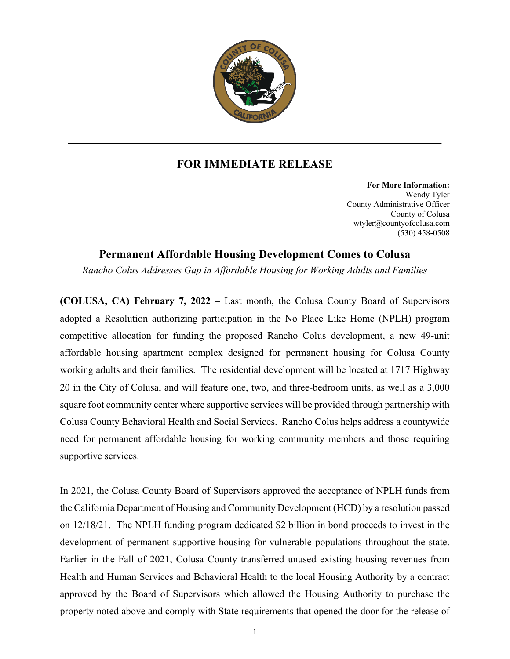

## **FOR IMMEDIATE RELEASE**

**For More Information:** Wendy Tyler County Administrative Officer County of Colusa wtyler@countyofcolusa.com (530) 458-0508

## **Permanent Affordable Housing Development Comes to Colusa**

*Rancho Colus Addresses Gap in Affordable Housing for Working Adults and Families*

**(COLUSA, CA) February 7, 2022 –** Last month, the Colusa County Board of Supervisors adopted a Resolution authorizing participation in the No Place Like Home (NPLH) program competitive allocation for funding the proposed Rancho Colus development, a new 49-unit affordable housing apartment complex designed for permanent housing for Colusa County working adults and their families. The residential development will be located at 1717 Highway 20 in the City of Colusa, and will feature one, two, and three-bedroom units, as well as a 3,000 square foot community center where supportive services will be provided through partnership with Colusa County Behavioral Health and Social Services. Rancho Colus helps address a countywide need for permanent affordable housing for working community members and those requiring supportive services.

In 2021, the Colusa County Board of Supervisors approved the acceptance of NPLH funds from the California Department of Housing and Community Development (HCD) by a resolution passed on 12/18/21. The NPLH funding program dedicated \$2 billion in bond proceeds to invest in the development of permanent supportive housing for vulnerable populations throughout the state. Earlier in the Fall of 2021, Colusa County transferred unused existing housing revenues from Health and Human Services and Behavioral Health to the local Housing Authority by a contract approved by the Board of Supervisors which allowed the Housing Authority to purchase the property noted above and comply with State requirements that opened the door for the release of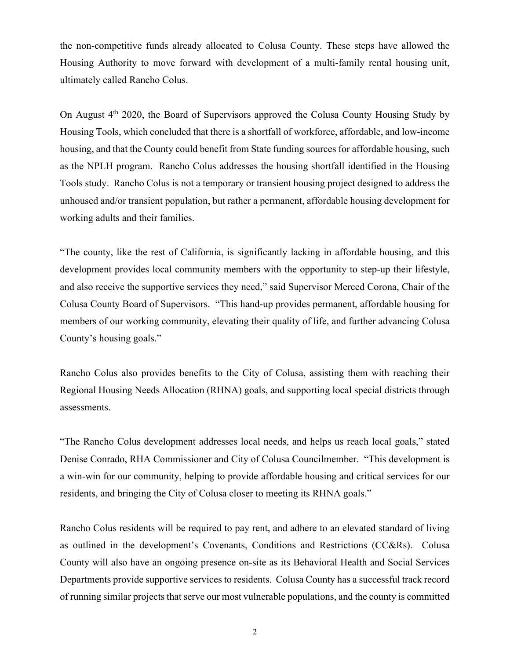the non-competitive funds already allocated to Colusa County. These steps have allowed the Housing Authority to move forward with development of a multi-family rental housing unit, ultimately called Rancho Colus.

On August  $4<sup>th</sup>$  2020, the Board of Supervisors approved the Colusa County Housing Study by Housing Tools, which concluded that there is a shortfall of workforce, affordable, and low-income housing, and that the County could benefit from State funding sources for affordable housing, such as the NPLH program. Rancho Colus addresses the housing shortfall identified in the Housing Tools study. Rancho Colus is not a temporary or transient housing project designed to address the unhoused and/or transient population, but rather a permanent, affordable housing development for working adults and their families.

"The county, like the rest of California, is significantly lacking in affordable housing, and this development provides local community members with the opportunity to step-up their lifestyle, and also receive the supportive services they need," said Supervisor Merced Corona, Chair of the Colusa County Board of Supervisors. "This hand-up provides permanent, affordable housing for members of our working community, elevating their quality of life, and further advancing Colusa County's housing goals."

Rancho Colus also provides benefits to the City of Colusa, assisting them with reaching their Regional Housing Needs Allocation (RHNA) goals, and supporting local special districts through assessments.

"The Rancho Colus development addresses local needs, and helps us reach local goals," stated Denise Conrado, RHA Commissioner and City of Colusa Councilmember. "This development is a win-win for our community, helping to provide affordable housing and critical services for our residents, and bringing the City of Colusa closer to meeting its RHNA goals."

Rancho Colus residents will be required to pay rent, and adhere to an elevated standard of living as outlined in the development's Covenants, Conditions and Restrictions (CC&Rs). Colusa County will also have an ongoing presence on-site as its Behavioral Health and Social Services Departments provide supportive services to residents. Colusa County has a successful track record of running similar projects that serve our most vulnerable populations, and the county is committed